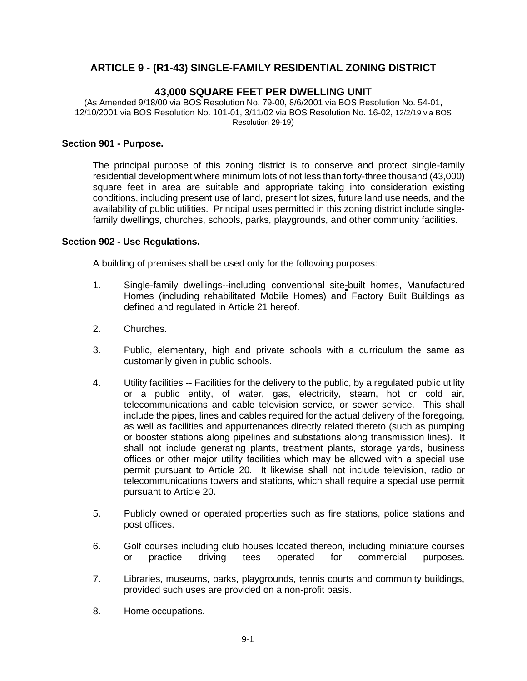# **ARTICLE 9 - (R1-43) SINGLE-FAMILY RESIDENTIAL ZONING DISTRICT**

## **43,000 SQUARE FEET PER DWELLING UNIT**

(As Amended 9/18/00 via BOS Resolution No. 79-00, 8/6/2001 via BOS Resolution No. 54-01, 12/10/2001 via BOS Resolution No. 101-01, 3/11/02 via BOS Resolution No. 16-02, 12/2/19 via BOS Resolution 29-19)

#### **Section 901 - Purpose.**

The principal purpose of this zoning district is to conserve and protect single-family residential development where minimum lots of not less than forty-three thousand (43,000) square feet in area are suitable and appropriate taking into consideration existing conditions, including present use of land, present lot sizes, future land use needs, and the availability of public utilities. Principal uses permitted in this zoning district include singlefamily dwellings, churches, schools, parks, playgrounds, and other community facilities.

#### **Section 902 - Use Regulations.**

A building of premises shall be used only for the following purposes:

- 1. Single-family dwellings--including conventional site**-**built homes, Manufactured Homes (including rehabilitated Mobile Homes) and Factory Built Buildings as defined and regulated in Article 21 hereof.
- 2. Churches.
- 3. Public, elementary, high and private schools with a curriculum the same as customarily given in public schools.
- 4. Utility facilities -- Facilities for the delivery to the public, by a regulated public utility or a public entity, of water, gas, electricity, steam, hot or cold air, telecommunications and cable television service, or sewer service. This shall include the pipes, lines and cables required for the actual delivery of the foregoing, as well as facilities and appurtenances directly related thereto (such as pumping or booster stations along pipelines and substations along transmission lines). It shall not include generating plants, treatment plants, storage yards, business offices or other major utility facilities which may be allowed with a special use permit pursuant to Article 20. It likewise shall not include television, radio or telecommunications towers and stations, which shall require a special use permit pursuant to Article 20.
- 5. Publicly owned or operated properties such as fire stations, police stations and post offices.
- 6. Golf courses including club houses located thereon, including miniature courses or practice driving tees operated for commercial purposes.
- 7. Libraries, museums, parks, playgrounds, tennis courts and community buildings, provided such uses are provided on a non-profit basis.
- 8. Home occupations.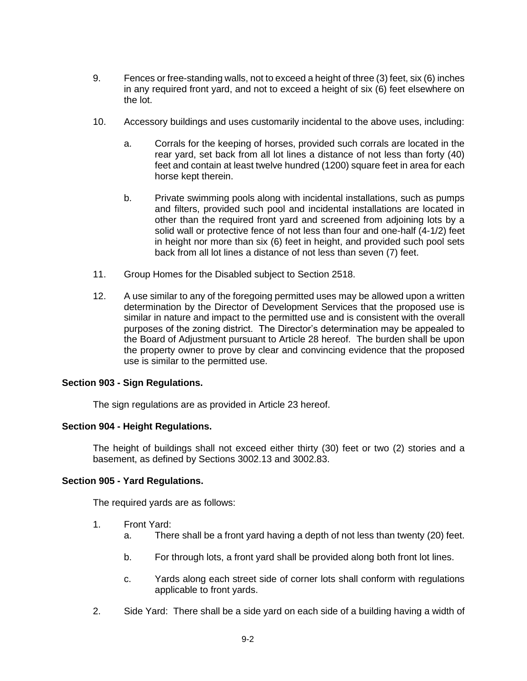- 9. Fences or free-standing walls, not to exceed a height of three (3) feet, six (6) inches in any required front yard, and not to exceed a height of six (6) feet elsewhere on the lot.
- 10. Accessory buildings and uses customarily incidental to the above uses, including:
	- a. Corrals for the keeping of horses, provided such corrals are located in the rear yard, set back from all lot lines a distance of not less than forty (40) feet and contain at least twelve hundred (1200) square feet in area for each horse kept therein.
	- b. Private swimming pools along with incidental installations, such as pumps and filters, provided such pool and incidental installations are located in other than the required front yard and screened from adjoining lots by a solid wall or protective fence of not less than four and one-half (4-1/2) feet in height nor more than six (6) feet in height, and provided such pool sets back from all lot lines a distance of not less than seven (7) feet.
- 11. Group Homes for the Disabled subject to Section 2518.
- 12. A use similar to any of the foregoing permitted uses may be allowed upon a written determination by the Director of Development Services that the proposed use is similar in nature and impact to the permitted use and is consistent with the overall purposes of the zoning district. The Director's determination may be appealed to the Board of Adjustment pursuant to Article 28 hereof. The burden shall be upon the property owner to prove by clear and convincing evidence that the proposed use is similar to the permitted use.

#### **Section 903 - Sign Regulations.**

The sign regulations are as provided in Article 23 hereof.

#### **Section 904 - Height Regulations.**

The height of buildings shall not exceed either thirty (30) feet or two (2) stories and a basement, as defined by Sections 3002.13 and 3002.83.

#### **Section 905 - Yard Regulations.**

The required yards are as follows:

- 1. Front Yard:
	- a. There shall be a front yard having a depth of not less than twenty (20) feet.
	- b. For through lots, a front yard shall be provided along both front lot lines.
	- c. Yards along each street side of corner lots shall conform with regulations applicable to front yards.
- 2. Side Yard: There shall be a side yard on each side of a building having a width of